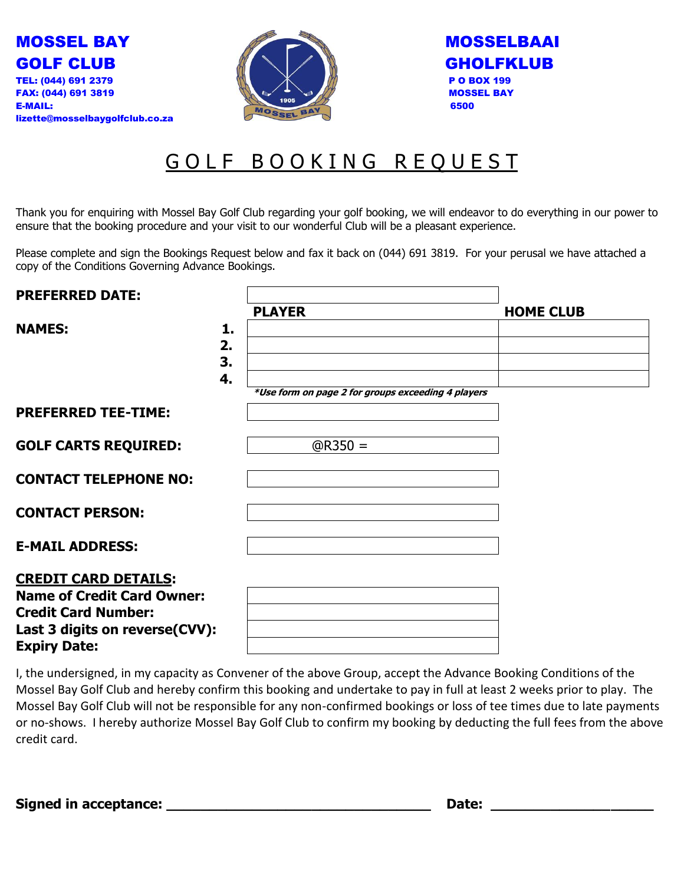



| <b>MOSSELBAAI</b> |
|-------------------|
| GHOLFKLUB         |
| <b>PO BOX 199</b> |
| <b>MOSSEL BAY</b> |
| 6500              |

## GOLF BOOKING REQUEST

Thank you for enquiring with Mossel Bay Golf Club regarding your golf booking, we will endeavor to do everything in our power to ensure that the booking procedure and your visit to our wonderful Club will be a pleasant experience.

Please complete and sign the Bookings Request below and fax it back on (044) 691 3819. For your perusal we have attached a copy of the Conditions Governing Advance Bookings.

| <b>PREFERRED DATE:</b>            |    |                                                    |                  |
|-----------------------------------|----|----------------------------------------------------|------------------|
|                                   |    | <b>PLAYER</b>                                      | <b>HOME CLUB</b> |
| <b>NAMES:</b>                     | 1. |                                                    |                  |
|                                   | 2. |                                                    |                  |
|                                   | 3. |                                                    |                  |
|                                   | 4. |                                                    |                  |
|                                   |    | *Use form on page 2 for groups exceeding 4 players |                  |
| <b>PREFERRED TEE-TIME:</b>        |    |                                                    |                  |
| <b>GOLF CARTS REQUIRED:</b>       |    | $@R350 =$                                          |                  |
| <b>CONTACT TELEPHONE NO:</b>      |    |                                                    |                  |
| <b>CONTACT PERSON:</b>            |    |                                                    |                  |
| <b>E-MAIL ADDRESS:</b>            |    |                                                    |                  |
| <b>CREDIT CARD DETAILS:</b>       |    |                                                    |                  |
| <b>Name of Credit Card Owner:</b> |    |                                                    |                  |
| <b>Credit Card Number:</b>        |    |                                                    |                  |
| Last 3 digits on reverse(CVV):    |    |                                                    |                  |
| <b>Expiry Date:</b>               |    |                                                    |                  |

I, the undersigned, in my capacity as Convener of the above Group, accept the Advance Booking Conditions of the Mossel Bay Golf Club and hereby confirm this booking and undertake to pay in full at least 2 weeks prior to play. The Mossel Bay Golf Club will not be responsible for any non-confirmed bookings or loss of tee times due to late payments or no-shows. I hereby authorize Mossel Bay Golf Club to confirm my booking by deducting the full fees from the above credit card.

**Signed in acceptance: \_\_\_\_\_\_\_\_\_\_\_\_\_\_\_\_\_\_\_\_\_\_\_\_\_\_\_\_\_\_\_ Date: \_\_\_\_\_\_\_\_\_\_\_\_\_\_\_\_\_\_\_**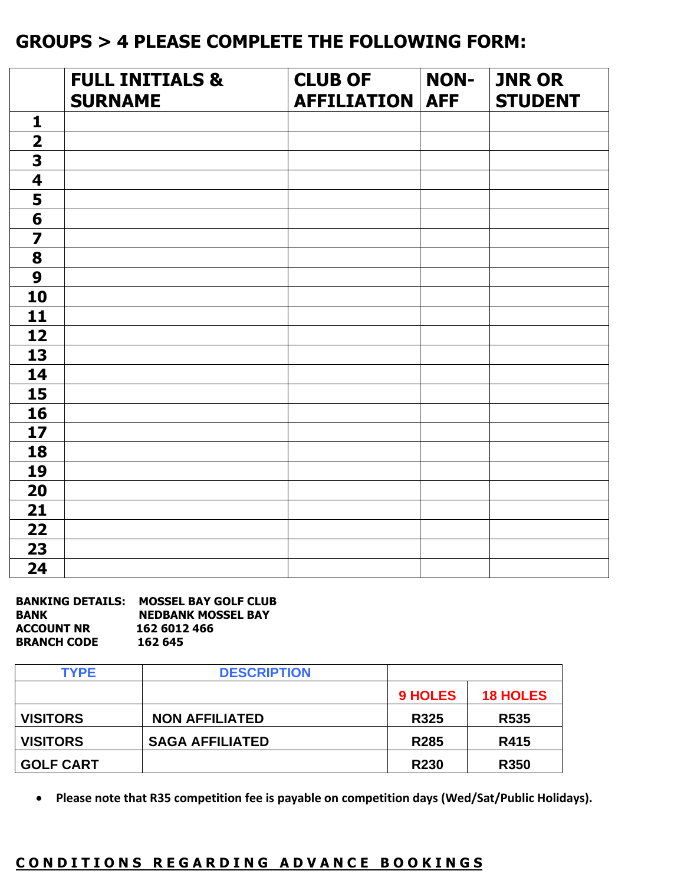## **GROUPS > 4 PLEASE COMPLETE THE FOLLOWING FORM:**

|                         | <b>FULL INITIALS &amp;</b><br><b>SURNAME</b> | <b>CLUB OF</b><br><b>AFFILIATION</b> | <b>NON-</b><br><b>AFF</b> | <b>JNR OR</b><br><b>STUDENT</b> |
|-------------------------|----------------------------------------------|--------------------------------------|---------------------------|---------------------------------|
| $\mathbf{1}$            |                                              |                                      |                           |                                 |
| $\overline{\mathbf{2}}$ |                                              |                                      |                           |                                 |
| 3                       |                                              |                                      |                           |                                 |
| $\overline{\mathbf{4}}$ |                                              |                                      |                           |                                 |
| 5                       |                                              |                                      |                           |                                 |
| $6\phantom{1}6$         |                                              |                                      |                           |                                 |
| $\overline{\mathbf{z}}$ |                                              |                                      |                           |                                 |
| 8                       |                                              |                                      |                           |                                 |
| 9                       |                                              |                                      |                           |                                 |
| 10                      |                                              |                                      |                           |                                 |
| 11                      |                                              |                                      |                           |                                 |
| 12                      |                                              |                                      |                           |                                 |
| 13                      |                                              |                                      |                           |                                 |
| 14                      |                                              |                                      |                           |                                 |
| 15                      |                                              |                                      |                           |                                 |
| 16                      |                                              |                                      |                           |                                 |
| 17                      |                                              |                                      |                           |                                 |
| 18                      |                                              |                                      |                           |                                 |
| 19                      |                                              |                                      |                           |                                 |
| 20                      |                                              |                                      |                           |                                 |
| 21                      |                                              |                                      |                           |                                 |
| 22                      |                                              |                                      |                           |                                 |
| 23                      |                                              |                                      |                           |                                 |
| 24                      |                                              |                                      |                           |                                 |

| <b>BANKING DETAILS:</b> | <b>MOSSEL BAY GOLF CLUB</b> |
|-------------------------|-----------------------------|
| <b>BANK</b>             | <b>NEDBANK MOSSEL BAY</b>   |
| <b>ACCOUNT NR</b>       | 162 6012 466                |
| <b>BRANCH CODE</b>      | 162 645                     |

| <b>TYPE</b>      | <b>DESCRIPTION</b>     |                  |                  |
|------------------|------------------------|------------------|------------------|
|                  |                        | <b>9 HOLES</b>   | <b>18 HOLES</b>  |
| <b>VISITORS</b>  | <b>NON AFFILIATED</b>  | <b>R325</b>      | R <sub>535</sub> |
| <b>VISITORS</b>  | <b>SAGA AFFILIATED</b> | R <sub>285</sub> | R415             |
| <b>GOLF CART</b> |                        | <b>R230</b>      | <b>R350</b>      |

• **Please note that R35 competition fee is payable on competition days (Wed/Sat/Public Holidays).**

## CONDITIONS REGARDING ADVANCE BOOKINGS